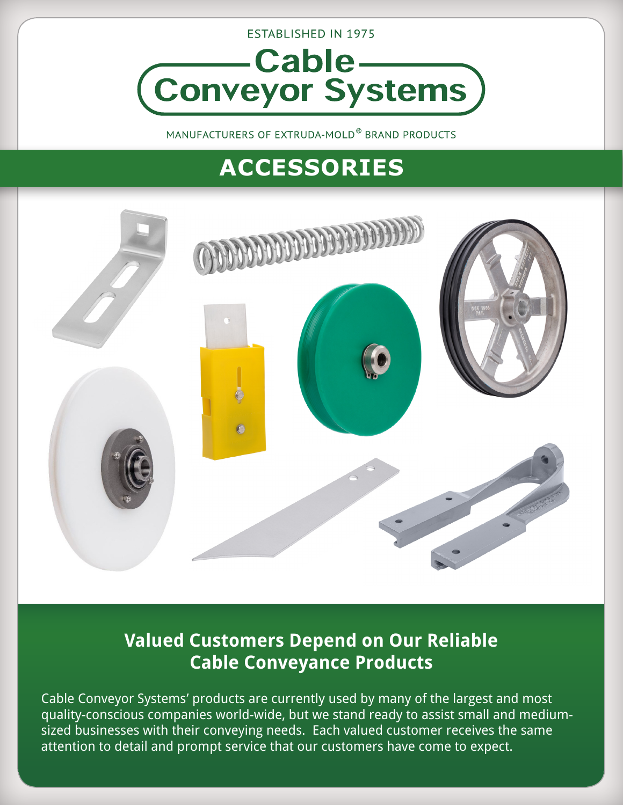

MANUFACTURERS OF EXTRUDA-MOLD® BRAND PRODUCTS

# **ACCESSORIES**



### **Valued Customers Depend on Our Reliable Cable Conveyance Products**

Cable Conveyor Systems' products are currently used by many of the largest and most quality-conscious companies world-wide, but we stand ready to assist small and mediumsized businesses with their conveying needs. Each valued customer receives the same attention to detail and prompt service that our customers have come to expect.